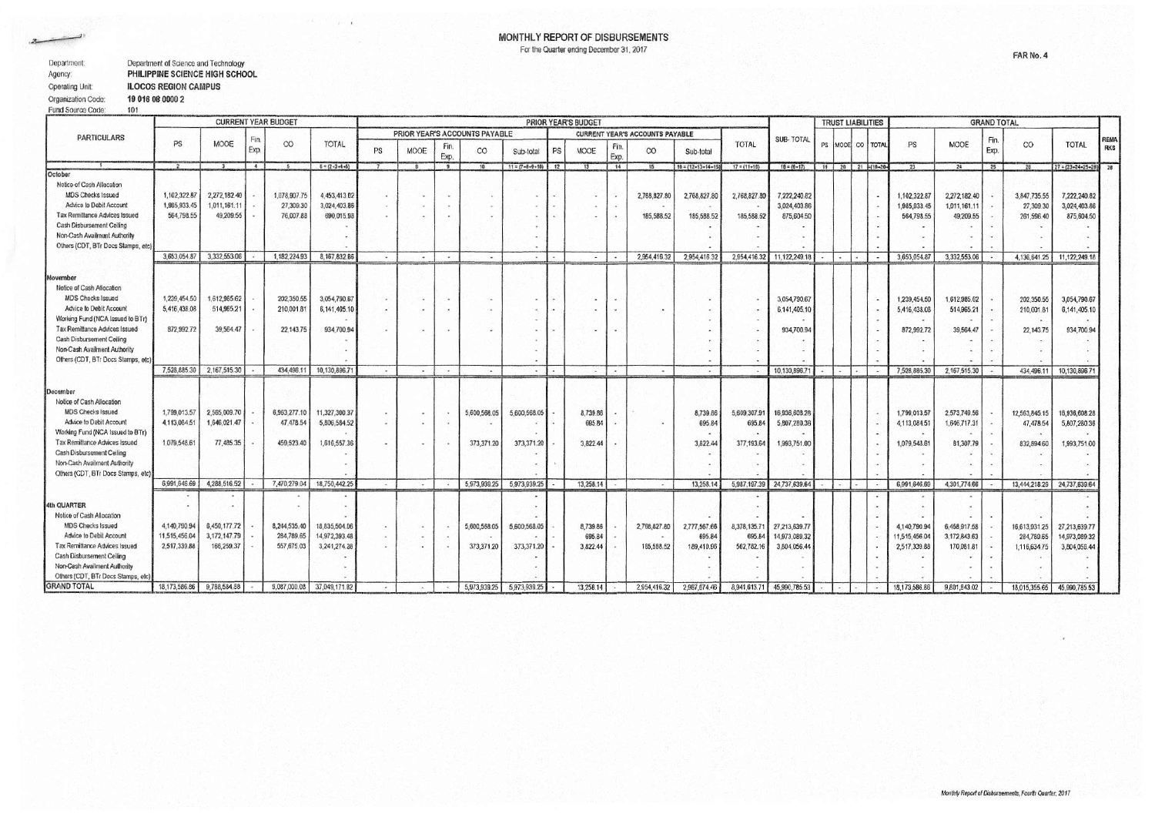## MONTHLY REPORT OF DISBURSEMENTS For the Quarter ending December 31, 2017

## Department of Science and Technology<br>PHILIPPINE SCIENCE HIGH SCHOOL Department: Agency: Operating Unit: **ILOCOS REGION CAMPUS** Organization Code: 19 016 08 0000 2

| Fund Source Code: | 101 |
|-------------------|-----|

 $\rightarrow$ 

æ

|                                                                                                                                                                                                                                             | <b>CURRENT YEAR BUDGET</b>                                 |                                                           |    | PRIOR YEAR'S BUDGET                                    |                                                            |          |                |                |                               |                            | <b>TRUST LIABILITIES</b> |                                | <b>GRAND TOTAL</b>       |                                            |                                            |                                            |                                                             |    |                          |                                       |                                                            |                                                          |            |                                                         |                                                             |             |
|---------------------------------------------------------------------------------------------------------------------------------------------------------------------------------------------------------------------------------------------|------------------------------------------------------------|-----------------------------------------------------------|----|--------------------------------------------------------|------------------------------------------------------------|----------|----------------|----------------|-------------------------------|----------------------------|--------------------------|--------------------------------|--------------------------|--------------------------------------------|--------------------------------------------|--------------------------------------------|-------------------------------------------------------------|----|--------------------------|---------------------------------------|------------------------------------------------------------|----------------------------------------------------------|------------|---------------------------------------------------------|-------------------------------------------------------------|-------------|
| <b>PARTICULARS</b>                                                                                                                                                                                                                          |                                                            |                                                           |    |                                                        |                                                            |          |                |                | PRIOR YEAR'S ACCOUNTS PAYABLE |                            |                          |                                |                          | <b>CURRENT YEAR'S ACCOUNTS PAYABLE</b>     |                                            |                                            |                                                             |    |                          |                                       |                                                            |                                                          |            |                                                         |                                                             | <b>REMA</b> |
|                                                                                                                                                                                                                                             | Fin<br>PS<br>MOOE<br>CO<br><b>TOTAL</b><br>Exp.            |                                                           | PS | MOOF                                                   | Fin.<br>Exp.                                               | $\rm CO$ | Sub-total      | PS             | MOOE                          | Fin.<br>Exp.               | $_{\rm CO}$              | Sub-total                      | <b>TOTAL</b>             | <b>SUB-TOTAL</b>                           | PS                                         | MOOE                                       | CO TOTAL                                                    | PS | MOOE                     | Fin.<br>Exp.                          | $\rm{CO}$                                                  | <b>TOTAL</b>                                             | <b>RKS</b> |                                                         |                                                             |             |
|                                                                                                                                                                                                                                             |                                                            |                                                           | 4  |                                                        | $6 = (2 + 3 + 4 + 5)$                                      |          |                | $\overline{a}$ | 10                            | $11 = (7 - 8 - 9 + 10)$    | 12                       | $-13$                          | 14                       | 15                                         | $16 = (12+13+14+15)$                       | $17 = (11+16)$                             | $18 = (6 - 17)$                                             |    |                          | $19$   20   21 = (19 + 20 +           | 23                                                         | 24                                                       | 25         |                                                         | $27 = (23 + 24 + 25 + 28)$                                  | 28          |
| October<br>Notice of Cash Allocation<br><b>MDS Checks Issued</b><br>Advice to Debit Account<br><b>Tax Remittance Advices Issued</b><br>Cash Disbursement Ceiling<br>Non-Cash Availment Authority<br>Others (CDT, BTr Docs Stamps, etc.      | 1,102,322.87<br>1,985,933.45<br>564,798.55<br>3.653.054.87 | 2,272,182.40<br>1,011,161.11<br>49,209.55<br>3,332,553,06 |    | 1,078,907.75<br>27,309.30<br>76,007.88<br>1.182,224.93 | 4,453,413.02<br>3,024,403.86<br>690,015.93<br>8.167.832.88 | $\sim$   | $\blacksquare$ |                | $\cdot$                       | $\sim$                     |                          | $\sim$                         |                          | 2,768,827.80<br>185,588.52<br>2,954,416.32 | 2,768,827.80<br>185,588.52<br>2,954,416.32 | 2,768,827.80<br>185,588.52<br>2,954,416.32 | 7,222,240.82<br>3,024,403.86<br>875,604.50<br>11,122,249.18 |    | $\overline{\phantom{a}}$ |                                       | 1,102,322.87<br>1,985,933.45<br>564,793.55<br>3,653,054.87 | 2,272,182.40<br>1,011,161.1<br>49,209.55<br>3,332,553.06 |            | 3,847,735.55<br>27,309.30<br>261,596.40<br>4,136,641.25 | 7,222,240.82<br>3,024,403.86<br>875,604.50<br>11.122.249.18 |             |
| November<br>Notice of Cash Allocation                                                                                                                                                                                                       |                                                            |                                                           |    |                                                        |                                                            |          |                |                |                               |                            |                          |                                |                          |                                            |                                            |                                            |                                                             |    |                          |                                       |                                                            |                                                          |            |                                                         |                                                             |             |
| <b>MDS Checks Issued</b><br>Advice to Debit Account<br>Working Fund (NCA Issued to BTr)                                                                                                                                                     | 1.239.454.50<br>5,416,438.08                               | 1,612,985.62<br>514,965.21                                |    | 202,350.55<br>210,001.81                               | 3,054,790.67<br>6,141,405.10                               |          |                |                |                               |                            |                          |                                |                          |                                            |                                            |                                            | 3,054,790.67<br>6,141,405.10                                |    |                          |                                       | 1,239,454.50<br>5,416,433.08                               | 1,612,985.62<br>514,965.21                               |            | 202,350.55<br>210,001.81                                | 3,054,790.67<br>6,141,405.10                                |             |
| Tax Remittance Advices Issued<br>Cash Disbursement Ceiling<br>Non-Cash Availment Authority<br>Others (CDT, BTr Docs Stamps, etc)                                                                                                            | 872,992.72                                                 | 39,564.47                                                 |    | 22.143.75                                              | 934,700.94                                                 |          |                |                |                               |                            |                          |                                |                          |                                            |                                            |                                            | 934,700.94                                                  |    |                          |                                       | 872,992.72                                                 | 39,564.47                                                |            | 22, 143.75                                              | 934,700.94                                                  |             |
|                                                                                                                                                                                                                                             | 7,528,885.30                                               | 2,167,515.30                                              |    | 434,496.11                                             | 10,130,896.7                                               | $\sim$   | $\sim$         | $\sim$         | $\ddot{\phantom{1}}$          | $\ddot{\phantom{1}}$       | ٠                        | $\sim$ .                       | $\overline{\phantom{a}}$ | $\sim$                                     | $\sim$                                     | $\sim$                                     | 10,130,896.7                                                |    | $\sim$                   | $\lambda$<br>$\overline{\phantom{a}}$ | 7,528,885.30                                               | 2,167,515.30                                             |            | 434,496.11                                              | 10,130,896.7                                                |             |
| December<br>Notice of Cash Allocation<br><b>MDS Checks Issued</b><br>Advice to Debit Account<br>Working Fund (NCA Issued to B'Tr)<br>Tax Remittance Advices Issued<br>Cash Disbursement Ceiling<br>Non-Cash Availment Authority             | 1,799,013.57<br>4,113,084.51<br>1,079,548,61               | 2,565,009.70<br>1,646,021.47<br>77,485.35                 |    | 6,963,277.10<br>47,478.54<br>459,523.40                | 11,327,300.37<br>5,806,584.52<br>1,616,557.36              |          |                |                | 5,600,568.05<br>373,371.20    | 5,600,568.05<br>373,371.20 |                          | 8,739.86<br>695.84<br>3.822.44 |                          |                                            | 8,739.86<br>695.84<br>3,822.44             | 5,609,307.91<br>695.8<br>377,193.64        | 16,936,608.28<br>5,807,280.36<br>1,993,751.00               |    |                          |                                       | 1,799,013.57<br>4,113,084.51<br>1.079.543.6                | 2,573,749.56<br>1,646,717.31<br>81,307.79                |            | 12,563,845.15<br>47,478.54<br>832,894 60                | 16,936,608.28<br>5,807,280.36<br>1,993,751.00               |             |
| Others (CDT, BTr Docs Stamps, etc)                                                                                                                                                                                                          | 6,991,646.69                                               | 4.288.516.52                                              |    | 7,470,279.04                                           | 18,750,442.25                                              | $\sim$   | $\cdot$        | - 2            | 5,973,939.25                  | 5.973.939.25               |                          | 13,258.14                      |                          | $\overline{a}$                             | 13,258.14                                  | 5.987,197.39                               | 24,737,639.64                                               |    | W.                       | $\bullet$<br>$\sim$                   | 6,991,646,69                                               | 4,301,774.66                                             |            | 13,444,218.29                                           | 24,737,639.64                                               |             |
| 4th CIUARTER<br>Notice of Cash Allocation<br><b>MDS Checks Issued</b><br>Advice to Debit Account<br><b>Tax Remittance Advices Issued</b><br>Cash Disbursement Ceiling<br>Non-Cash Availment Authority<br>Others (CDT, BTr Docs Stamps, etc. | 4,140,790.94<br>11,515,456.04<br>2,517,339.88              | 6,450,177.72<br>3,172,147.79<br>166,259.37                |    | 8,244,535.40<br>284,789.65<br>557,675.03               | 18,835,504.06<br>14,972,393.48<br>3,241,274.28             |          |                |                | 5,600,568.05<br>373,371.20    | 5,600,568.05<br>373,371.20 |                          | 8,739.86<br>695.84<br>3,822.44 |                          | 2,768,827.80<br>185,588.52                 | 2,777,567,66<br>695.84<br>189,410.96       | 8,378,135.71<br>695.84<br>562,782.16       | 27,213,639.77<br>14,973,089.32<br>3,804,056.44              |    |                          |                                       | 4.140.790.94<br>11,515,456.04<br>2,517,339.88              | 6,458,917.58<br>3,172,843.63<br>170,081.81               |            | 16.613.931.25<br>284,789.65<br>1.116,634.75             | 27,213,639.77<br>14,973,089.32<br>3,804,056.44              |             |
| <b>GRAND TOTAL</b>                                                                                                                                                                                                                          | 18,173,586.86                                              | 9,788,584.88                                              |    | 9,087,000.08                                           | 37,049,171.82                                              |          | <b>Section</b> |                | 5,973,939.25                  | 5,973,939.25               |                          | 13,258.14                      |                          | 2,954,416.32                               | 2,967,674.46                               | 8,941,613.71                               | 45,990,785.53                                               |    |                          |                                       | 18,173,586.86                                              | 9,801,843.02                                             |            | 13,015,355.65                                           | 45,990,785.53                                               |             |